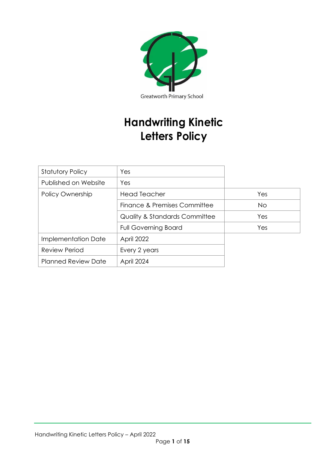

# **Handwriting Kinetic Letters Policy**

| <b>Statutory Policy</b>    | Yes                                      |     |
|----------------------------|------------------------------------------|-----|
| Published on Website       | Yes                                      |     |
| Policy Ownership           | <b>Head Teacher</b>                      | Yes |
|                            | Finance & Premises Committee             | No. |
|                            | <b>Quality &amp; Standards Committee</b> | Yes |
|                            | <b>Full Governing Board</b>              | Yes |
| Implementation Date        | April 2022                               |     |
| <b>Review Period</b>       | Every 2 years                            |     |
| <b>Planned Review Date</b> | April 2024                               |     |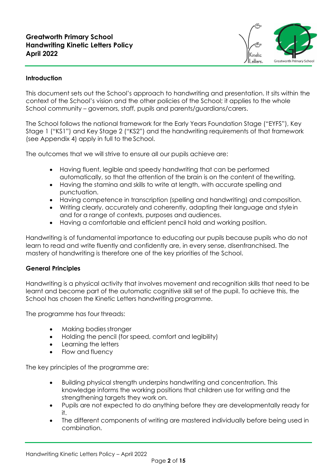

#### **Introduction**

This document sets out the School's approach to handwriting and presentation. It sits within the context of the School's vision and the other policies of the School; it applies to the whole School community – governors, staff, pupils and parents/guardians/carers.

The School follows the national framework for the Early Years Foundation Stage ("EYFS"), Key Stage 1 ("KS1") and Key Stage 2 ("KS2") and the handwriting requirements of that framework (see Appendix 4) apply in full to the School.

The outcomes that we will strive to ensure all our pupils achieve are:

- Having fluent, legible and speedy handwriting that can be performed automatically, so that the attention of the brain is on the content of thewriting.
- Having the stamina and skills to write at length, with accurate spelling and punctuation.
- Having competence in transcription (spelling and handwriting) and composition.
- Writing clearly, accurately and coherently, adapting their language and stylein and for a range of contexts, purposes and audiences.
- Having a comfortable and efficient pencil hold and working position.

Handwriting is of fundamental importance to educating our pupils because pupils who do not learn to read and write fluently and confidently are, in every sense, disenfranchised. The mastery of handwriting is therefore one of the key priorities of the School.

#### **General Principles**

Handwriting is a physical activity that involves movement and recognition skills that need to be learnt and become part of the automatic cognitive skill set of the pupil. To achieve this, the School has chosen the Kinetic Letters handwriting programme.

The programme has four threads:

- Making bodies stronger
- Holding the pencil (for speed, comfort and legibility)
- Learning the letters
- Flow and fluency

The key principles of the programme are:

- Building physical strength underpins handwriting and concentration. This knowledge informs the working positions that children use for writing and the strengthening targets they work on.
- Pupils are not expected to do anything before they are developmentally ready for it.
- The different components of writing are mastered individually before being used in combination.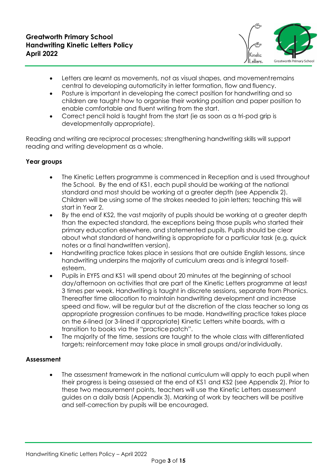

- Letters are learnt as movements, not as visual shapes, and movementremains central to developing automaticity in letter formation, flow and fluency.
- Posture is important in developing the correct position for handwriting and so children are taught how to organise their working position and paper position to enable comfortable and fluent writing from the start.
- Correct pencil hold is taught from the start (ie as soon as a tri-pod grip is developmentally appropriate).

Reading and writing are reciprocal processes; strengthening handwriting skills will support reading and writing development as a whole.

#### **Year groups**

- The Kinetic Letters programme is commenced in Reception and is used throughout the School. By the end of KS1, each pupil should be working at the national standard and most should be working at a greater depth (see Appendix 2). Children will be using some of the strokes needed to join letters; teaching this will start in Year 2.
- By the end of KS2, the vast majority of pupils should be working at a greater depth than the expected standard, the exceptions being those pupils who started their primary education elsewhere, and statemented pupils. Pupils should be clear about what standard of handwriting is appropriate for a particular task (e.g. quick notes or a final handwritten version).
- Handwriting practice takes place in sessions that are outside English lessons, since handwriting underpins the majority of curriculum areas and is integral toselfesteem.
- Pupils in EYFS and KS1 will spend about 20 minutes at the beginning of school day/afternoon on activities that are part of the Kinetic Letters programme at least 3 times per week. Handwriting is taught in discrete sessions, separate from Phonics. Thereafter time allocation to maintain handwriting development and increase speed and flow, will be regular but at the discretion of the class teacher so long as appropriate progression continues to be made. Handwriting practice takes place on the 6-lined (or 3-lined if appropriate) Kinetic Letters white boards, with a transition to books via the "practice patch".
- The majority of the time, sessions are taught to the whole class with differentiated targets; reinforcement may take place in small groups and/or individually.

#### **Assessment**

The assessment framework in the national curriculum will apply to each pupil when their progress is being assessed at the end of KS1 and KS2 (see Appendix 2). Prior to these two measurement points, teachers will use the Kinetic Letters assessment guides on a daily basis (Appendix 3). Marking of work by teachers will be positive and self-correction by pupils will be encouraged.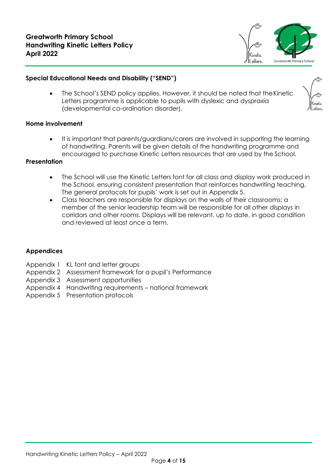

#### **Special Educational Needs and Disability ("SEND")**

The School's SEND policy applies. However, it should be noted that the Kinetic Letters programme is applicable to pupils with dyslexic and dyspraxia (developmental co-ordination disorder).

#### **Home involvement**

• It is important that parents/guardians/carers are involved in supporting the learning of handwriting. Parents will be given details of the handwriting programme and encouraged to purchase Kinetic Letters resources that are used by the School.

#### **Presentation**

- The School will use the Kinetic Letters font for all class and display work produced in the School, ensuring consistent presentation that reinforces handwriting teaching. The general protocols for pupils' work is set out in Appendix 5.
- Class teachers are responsible for displays on the walls of their classrooms; a member of the senior leadership team will be responsible for all other displays in corridors and other rooms. Displays will be relevant, up to date, in good condition and reviewed at least once a term.

#### **Appendices**

- Appendix 1 KL font and letter groups
- Appendix 2 Assessment framework for a pupil's Performance
- Appendix 3 Assessment opportunities
- Appendix 4 Handwriting requirements national framework
- Appendix 5 Presentation protocols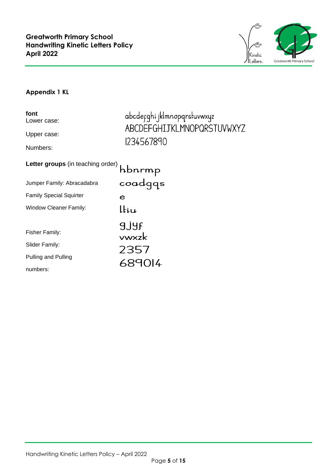

#### **Appendix 1 KL**

| font<br>Lower case:               | abcdefqhi jklmnopqrstuvwxyz<br>ABCDEFGHIJKLMNOPQRSTUVWXYZ |
|-----------------------------------|-----------------------------------------------------------|
| Upper case:                       |                                                           |
| Numbers:                          | 1234567890                                                |
| Letter groups (in teaching order) | hbnrmp                                                    |
| Jumper Family: Abracadabra        | coadqqs                                                   |
| <b>Family Special Squirter</b>    | e                                                         |
| Window Cleaner Family:            | ltiu                                                      |
|                                   | <b>9JYF</b>                                               |
| Fisher Family:                    | ywxzk                                                     |
| Slider Family:                    | 2357                                                      |
| Pulling and Pulling               | 689014                                                    |
| numbers:                          |                                                           |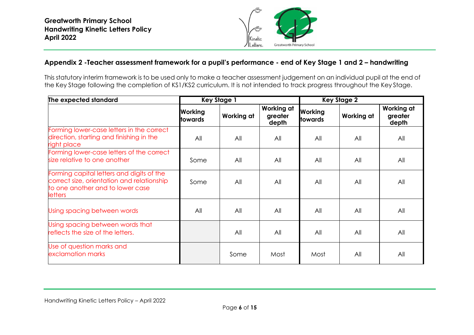

#### **Appendix 2 -Teacher assessment framework for a pupil's performance - end of Key Stage 1 and 2 – handwriting**

This statutory interim framework is to be used only to make a teacher assessment judgement on an individual pupil at the end of the Key Stage following the completion of KS1/KS2 curriculum. It is not intended to track progress throughout the Key Stage.

| The expected standard                                                                                                                         | <b>Key Stage 1</b>        |            | <b>Key Stage 2</b>                    |                                  |            |                                |
|-----------------------------------------------------------------------------------------------------------------------------------------------|---------------------------|------------|---------------------------------------|----------------------------------|------------|--------------------------------|
|                                                                                                                                               | <b>Working</b><br>towards | Working at | <b>Working at</b><br>greater<br>depth | <b>Working</b><br><b>towards</b> | Working at | Working at<br>greater<br>depth |
| Forming lower-case letters in the correct<br>direction, starting and finishing in the<br>right place                                          | All                       | All        | All                                   | All                              | All        | All                            |
| Forming lower-case letters of the correct<br>size relative to one another                                                                     | Some                      | All        | All                                   | All                              | All        | All                            |
| Forming capital letters and digits of the<br>correct size, orientation and relationship<br>to one another and to lower case<br><b>letters</b> | Some                      | All        | All                                   | All                              | All        | All                            |
| Using spacing between words                                                                                                                   | All                       | All        | All                                   | All                              | All        | All                            |
| Using spacing between words that<br>reflects the size of the letters.                                                                         |                           | All        | All                                   | All                              | All        | All                            |
| Use of question marks and<br>exclamation marks                                                                                                |                           | Some       | Most                                  | Most                             | All        | All                            |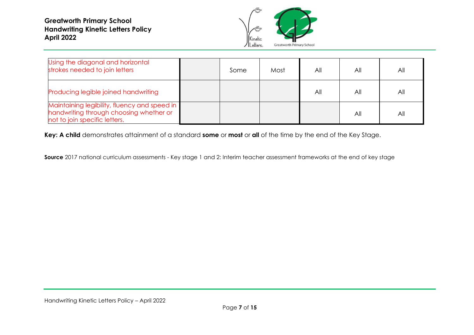**Greatworth Primary School Handwriting Kinetic Letters Policy April 2022**



| Using the diagonal and horizontal<br>strokes needed to join letters                                                      | Some | Most | All | All | Αll |
|--------------------------------------------------------------------------------------------------------------------------|------|------|-----|-----|-----|
| Producing legible joined handwriting                                                                                     |      |      | All | All | All |
| Maintaining legibility, fluency and speed in<br>handwriting through choosing whether or<br>not to join specific letters. |      |      |     | All | All |

**Key: A child** demonstrates attainment of a standard **some** or **most** or **all** of the time by the end of the Key Stage.

**Source** 2017 national curriculum assessments - Key stage 1 and 2: Interim teacher assessment frameworks at the end of key stage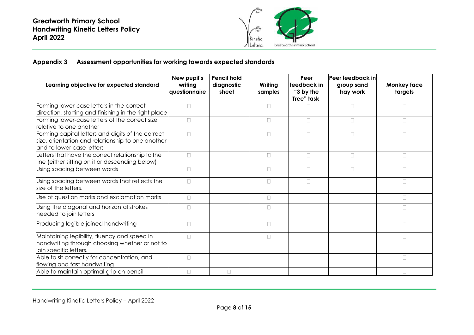

#### **Appendix 3 Assessment opportunities for working towards expected standards**

| Learning objective for expected standard                                                                                 | New pupil's<br>writing<br>questionnaire | <b>Pencil hold</b><br>diagnostic<br>sheet | Writing<br>samples | Peer<br>lfeedback in<br>"3 by the<br>Tree" task | Peer feedback in<br>group sand<br>tray work | <b>Monkey face</b><br>targets |
|--------------------------------------------------------------------------------------------------------------------------|-----------------------------------------|-------------------------------------------|--------------------|-------------------------------------------------|---------------------------------------------|-------------------------------|
| Forming lower-case letters in the correct                                                                                | $\Box$                                  |                                           | $\Box$             | П                                               | $\Box$                                      | $\Box$                        |
| direction, starting and finishing in the right place                                                                     |                                         |                                           |                    |                                                 |                                             |                               |
| Forming lower-case letters of the correct size<br>relative to one another                                                | $\Box$                                  |                                           | $\Box$             | $\Box$                                          | $\Box$                                      | $\Box$                        |
| Forming capital letters and digits of the correct                                                                        | $\Box$                                  |                                           | $\Box$             | $\Box$                                          | $\Box$                                      | $\Box$                        |
| size, orientation and relationship to one another<br>and to lower case letters                                           |                                         |                                           |                    |                                                 |                                             |                               |
| etters that have the correct relationship to the                                                                         | $\Box$                                  |                                           | $\Box$             | $\Box$                                          | $\Box$                                      | $\Box$                        |
| line (either sitting on it or descending below)                                                                          |                                         |                                           |                    |                                                 |                                             |                               |
| Using spacing between words                                                                                              | $\Box$                                  |                                           | $\Box$             | $\Box$                                          | $\Box$                                      | $\Box$                        |
| Using spacing between words that reflects the<br>size of the letters.                                                    | $\Box$                                  |                                           | $\Box$             | $\Box$                                          |                                             | $\Box$                        |
| Use of question marks and exclamation marks                                                                              | $\Box$                                  |                                           | $\Box$             |                                                 |                                             | $\Box$                        |
| Using the diagonal and horizontal strokes<br>needed to join letters                                                      | $\Box$                                  |                                           | $\Box$             |                                                 |                                             | $\Box$                        |
| Producing legible joined handwriting                                                                                     | $\Box$                                  |                                           | $\Box$             |                                                 |                                             | $\Box$                        |
| Maintaining legibility, fluency and speed in<br>handwriting through choosing whether or not to<br>join specific letters. | $\Box$                                  |                                           | $\Box$             |                                                 |                                             | $\Box$                        |
| Able to sit correctly for concentration, and<br>flowing and fast handwriting                                             | $\Box$                                  |                                           |                    |                                                 |                                             | $\Box$                        |
| Able to maintain optimal grip on pencil                                                                                  | П                                       | П                                         |                    |                                                 |                                             | П                             |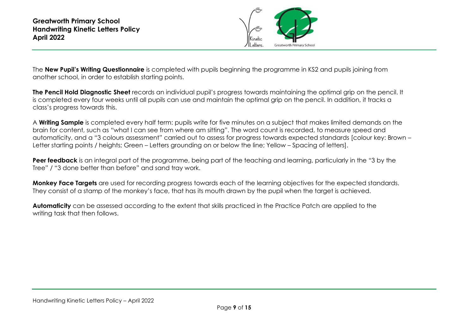

The **New Pupil's Writing Questionnaire** is completed with pupils beginning the programme in KS2 and pupils joining from another school, in order to establish starting points.

**The Pencil Hold Diagnostic Sheet** records an individual pupil's progress towards maintaining the optimal grip on the pencil. It is completed every four weeks until all pupils can use and maintain the optimal grip on the pencil. In addition, it tracks a class's progress towards this.

A **Writing Sample** is completed every half term: pupils write for five minutes on a subject that makes limited demands on the brain for content, such as "what I can see from where am sitting". The word count is recorded, to measure speed and automaticity, and a "3 colours assessment" carried out to assess for progress towards expected standards [colour key: Brown – Letter starting points / heights; Green – Letters grounding on or below the line; Yellow – Spacing of letters].

**Peer feedback** is an integral part of the programme, being part of the teaching and learning, particularly in the "3 by the Tree" / "3 done better than before" and sand tray work.

**Monkey Face Targets** are used for recording progress towards each of the learning objectives for the expected standards. They consist of a stamp of the monkey's face, that has its mouth drawn by the pupil when the target is achieved.

**Automaticity** can be assessed according to the extent that skills practiced in the Practice Patch are applied to the writing task that then follows.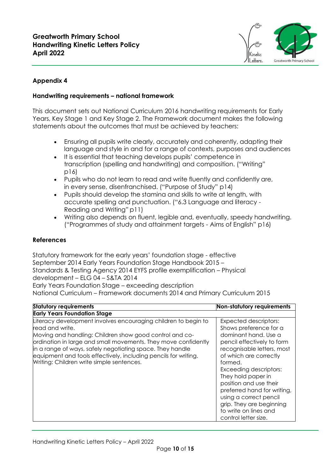

#### **Appendix 4**

#### **Handwriting requirements – national framework**

This document sets out National Curriculum 2016 handwriting requirements for Early Years, Key Stage 1 and Key Stage 2. The Framework document makes the following statements about the outcomes that must be achieved by teachers:

- Ensuring all pupils write clearly, accurately and coherently, adapting their language and style in and for a range of contexts, purposes and audiences
- It is essential that teaching develops pupils' competence in transcription (spelling and handwriting) and composition. ("Writing" p16)
- Pupils who do not learn to read and write fluently and confidently are, in every sense, disenfranchised. ("Purpose of Study" p14)
- Pupils should develop the stamina and skills to write at length, with accurate spelling and punctuation. ("6.3 Language and literacy - Reading and Writing" p11)
- Writing also depends on fluent, legible and, eventually, speedy handwriting. ("Programmes of study and attainment targets - Aims of English" p16)

#### **References**

Statutory framework for the early years' foundation stage - effective September 2014 Early Years Foundation Stage Handbook 2015 – Standards & Testing Agency 2014 EYFS profile exemplification – Physical development – ELG 04 – S&TA 2014 Early Years Foundation Stage – exceeding description

National Curriculum – Framework documents 2014 and Primary Curriculum 2015

| <b>Statutory requirements</b>                                                                                                                                                                                                                                                                                                                                                               | Non-statutory requirements                                                                                                                                                                                                                                                                                                                                                                             |
|---------------------------------------------------------------------------------------------------------------------------------------------------------------------------------------------------------------------------------------------------------------------------------------------------------------------------------------------------------------------------------------------|--------------------------------------------------------------------------------------------------------------------------------------------------------------------------------------------------------------------------------------------------------------------------------------------------------------------------------------------------------------------------------------------------------|
| <b>Early Years Foundation Stage</b>                                                                                                                                                                                                                                                                                                                                                         |                                                                                                                                                                                                                                                                                                                                                                                                        |
| Literacy development involves encouraging children to begin to<br>read and write.<br>Moving and handling: Children show good control and co-<br>ordination in large and small movements. They move confidently<br>in a range of ways, safely negotiating space. They handle<br>equipment and tools effectively, including pencils for writing.<br>Writing: Children write simple sentences. | <b>Expected descriptors:</b><br>Shows preference for a<br>dominant hand. Use a<br>pencil effectively to form<br>recognisable letters, most<br>of which are correctly<br>formed.<br><b>Exceeding descriptors:</b><br>They hold paper in<br>position and use their<br>preferred hand for writing,<br>using a correct pencil<br>grip. They are beginning<br>to write on lines and<br>control letter size. |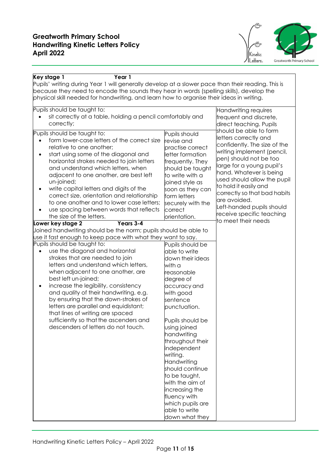

| Key stage 1<br>Year 1                                                                             |                                  |                                                  |  |  |  |  |
|---------------------------------------------------------------------------------------------------|----------------------------------|--------------------------------------------------|--|--|--|--|
| Pupils' writing during Year 1 will generally develop at a slower pace than their reading. This is |                                  |                                                  |  |  |  |  |
| because they need to encode the sounds they hear in words (spelling skills), develop the          |                                  |                                                  |  |  |  |  |
| physical skill needed for handwriting, and learn how to organise their ideas in writing.          |                                  |                                                  |  |  |  |  |
| Pupils should be taught to:                                                                       |                                  | Handwriting requires                             |  |  |  |  |
| sit correctly at a table, holding a pencil comfortably and                                        |                                  | frequent and discrete,                           |  |  |  |  |
| correctly;                                                                                        |                                  | direct teaching. Pupils                          |  |  |  |  |
| Pupils should be taught to:                                                                       |                                  | should be able to form                           |  |  |  |  |
| form lower-case letters of the correct size                                                       | Pupils should<br>revise and      | letters correctly and                            |  |  |  |  |
| relative to one another;                                                                          | practise correct                 | confidently. The size of the                     |  |  |  |  |
| start using some of the diagonal and                                                              | letter formation                 | writing implement (pencil,                       |  |  |  |  |
| horizontal strokes needed to join letters                                                         | frequently. They                 | pen) should not be too                           |  |  |  |  |
| and understand which letters, when                                                                | should be taught                 | large for a young pupil's                        |  |  |  |  |
| adjacent to one another, are best left                                                            | to write with a                  | hand. Whatever is being                          |  |  |  |  |
| un-joined;                                                                                        | joined style as                  | used should allow the pupil                      |  |  |  |  |
| write capital letters and digits of the                                                           | soon as they can                 | to hold it easily and                            |  |  |  |  |
| correct size, orientation and relationship                                                        | form letters                     | correctly so that bad habits                     |  |  |  |  |
| to one another and to lower case letters;                                                         | securely with the                | are avoided.                                     |  |  |  |  |
| use spacing between words that reflects                                                           | correct                          | Left-handed pupils should                        |  |  |  |  |
| the size of the letters.                                                                          | orientation.                     | receive specific teaching<br>to meet their needs |  |  |  |  |
| Years 3-4<br>Lower key stage 2                                                                    |                                  |                                                  |  |  |  |  |
| Joined handwriting should be the norm; pupils should be able to                                   |                                  |                                                  |  |  |  |  |
| use it fast enough to keep pace with what they want to say.                                       |                                  |                                                  |  |  |  |  |
| Pupils should be taught to:                                                                       | Pupils should be                 |                                                  |  |  |  |  |
| use the diagonal and horizontal                                                                   | able to write                    |                                                  |  |  |  |  |
| strokes that are needed to join<br>letters and understand which letters,                          | down their ideas                 |                                                  |  |  |  |  |
| when adjacent to one another, are                                                                 | with a<br>reasonable             |                                                  |  |  |  |  |
| best left un-joined;                                                                              | degree of                        |                                                  |  |  |  |  |
| increase the legibility, consistency                                                              | accuracy and                     |                                                  |  |  |  |  |
| and quality of their handwriting, e.g.                                                            | with good                        |                                                  |  |  |  |  |
| by ensuring that the down-strokes of                                                              | sentence                         |                                                  |  |  |  |  |
| letters are parallel and equidistant;                                                             | punctuation.                     |                                                  |  |  |  |  |
| that lines of writing are spaced                                                                  |                                  |                                                  |  |  |  |  |
| sufficiently so that the ascenders and                                                            | Pupils should be                 |                                                  |  |  |  |  |
| descenders of letters do not touch.                                                               | using joined                     |                                                  |  |  |  |  |
|                                                                                                   | handwriting                      |                                                  |  |  |  |  |
|                                                                                                   | throughout their                 |                                                  |  |  |  |  |
|                                                                                                   | independent                      |                                                  |  |  |  |  |
|                                                                                                   | writing.                         |                                                  |  |  |  |  |
|                                                                                                   | Handwriting                      |                                                  |  |  |  |  |
|                                                                                                   | should continue                  |                                                  |  |  |  |  |
|                                                                                                   | to be taught,<br>with the aim of |                                                  |  |  |  |  |
|                                                                                                   | increasing the                   |                                                  |  |  |  |  |
|                                                                                                   | fluency with                     |                                                  |  |  |  |  |
|                                                                                                   | which pupils are                 |                                                  |  |  |  |  |
|                                                                                                   | able to write                    |                                                  |  |  |  |  |
|                                                                                                   | down what they                   |                                                  |  |  |  |  |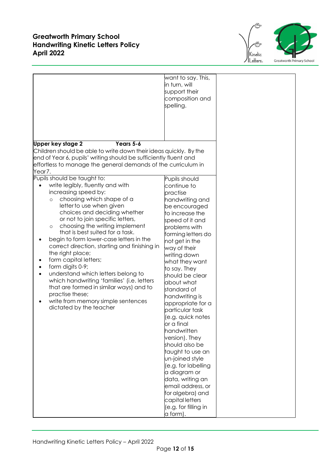



|                                                                                                                                                                                                                                                                                                                                                                                                                                                                                                                                                                                                                                                                                                          | want to say. This,<br>in turn, will<br>support their<br>composition and<br>spelling.                                                                                                                                                                                                                                                                                                                                                                                                                                                                                                                                                            |  |
|----------------------------------------------------------------------------------------------------------------------------------------------------------------------------------------------------------------------------------------------------------------------------------------------------------------------------------------------------------------------------------------------------------------------------------------------------------------------------------------------------------------------------------------------------------------------------------------------------------------------------------------------------------------------------------------------------------|-------------------------------------------------------------------------------------------------------------------------------------------------------------------------------------------------------------------------------------------------------------------------------------------------------------------------------------------------------------------------------------------------------------------------------------------------------------------------------------------------------------------------------------------------------------------------------------------------------------------------------------------------|--|
| Years 5-6<br>Upper key stage 2<br>Children should be able to write down their ideas quickly. By the<br>end of Year 6, pupils' writing should be sufficiently fluent and<br>effortless to manage the general demands of the curriculum in                                                                                                                                                                                                                                                                                                                                                                                                                                                                 |                                                                                                                                                                                                                                                                                                                                                                                                                                                                                                                                                                                                                                                 |  |
| Year7.<br>Pupils should be taught to:<br>write legibly, fluently and with<br>increasing speed by:<br>choosing which shape of a<br>$\circ$<br>letter to use when given<br>choices and deciding whether<br>or not to join specific letters,<br>choosing the writing implement<br>$\circ$<br>that is best suited for a task.<br>begin to form lower-case letters in the<br>correct direction, starting and finishing in<br>the right place;<br>form capital letters;<br>form digits 0-9;<br>understand which letters belong to<br>which handwriting 'families' (i.e. letters<br>that are formed in similar ways) and to<br>practise these;<br>write from memory simple sentences<br>dictated by the teacher | Pupils should<br>continue to<br>practise<br>handwriting and<br>be encouraged<br>to increase the<br>speed of it and<br>problems with<br>forming letters do<br>not get in the<br>way of their<br>writing down<br>what they want<br>to say. They<br>should be clear<br>about what<br>standard of<br>handwriting is<br>appropriate for a<br>particular task<br>(e.g. quick notes<br>or a final<br>handwritten<br>version). They<br>should also be<br>taught to use an<br>un-joined style<br>(e.g. for labelling<br>a diagram or<br>data, writing an<br>email address, or<br>for algebra) and<br>capital letters<br>(e.g. for filling in<br>a form). |  |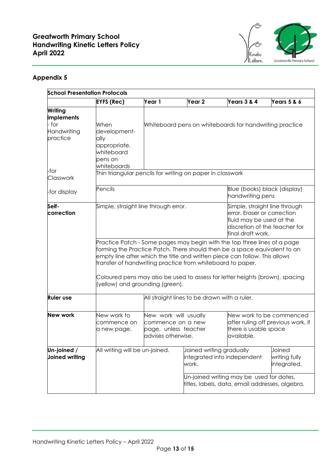

#### **Appendix 5**

| <b>School Presentation Protocols</b> |                                                                                      |                                                                                                                                                                                                                                                                                                   |                                                                  |                                                                                             |                                        |  |
|--------------------------------------|--------------------------------------------------------------------------------------|---------------------------------------------------------------------------------------------------------------------------------------------------------------------------------------------------------------------------------------------------------------------------------------------------|------------------------------------------------------------------|---------------------------------------------------------------------------------------------|----------------------------------------|--|
|                                      | <b>EYFS (Rec)</b>                                                                    | Year 1                                                                                                                                                                                                                                                                                            | Year <sub>2</sub>                                                | Years 3 & 4                                                                                 | Years 5 & 6                            |  |
| Writing<br>implements                |                                                                                      |                                                                                                                                                                                                                                                                                                   |                                                                  |                                                                                             |                                        |  |
| - for<br>Handwriting<br>practice     | When<br>development-<br>ally<br>appropriate,<br>whiteboard<br>pens on<br>whiteboards |                                                                                                                                                                                                                                                                                                   |                                                                  | Whiteboard pens on whiteboards for handwriting practice                                     |                                        |  |
| -for<br>Classwork                    | Thin triangular pencils for writing on paper in classwork                            |                                                                                                                                                                                                                                                                                                   |                                                                  |                                                                                             |                                        |  |
| -for display                         | Pencils                                                                              |                                                                                                                                                                                                                                                                                                   |                                                                  | Blue (books) black (display)<br>handwriting pens                                            |                                        |  |
| Self-<br>correction                  |                                                                                      | Simple, straight line through error.<br>Simple, straight line through<br>error. Eraser or correction<br>fluid may be used at the<br>discretion of the teacher for<br>final draft work.                                                                                                            |                                                                  |                                                                                             |                                        |  |
|                                      |                                                                                      | Practice Patch - Some pages may begin with the top three lines of a page<br>forming the Practice Patch. There should then be a space equivalent to an<br>empty line after which the title and written piece can follow. This allows<br>transfer of handwriting practice from whiteboard to paper. |                                                                  |                                                                                             |                                        |  |
|                                      |                                                                                      | Coloured pens may also be used to assess for letter heights (brown), spacing<br>(yellow) and grounding (green).                                                                                                                                                                                   |                                                                  |                                                                                             |                                        |  |
| <b>Ruler use</b>                     |                                                                                      |                                                                                                                                                                                                                                                                                                   | All straight lines to be drawn with a ruler.                     |                                                                                             |                                        |  |
| <b>New work</b>                      | New work to<br>commence on<br>a new page.                                            | New work will usually<br>New work to be commenced<br>after ruling off previous work, if<br>commence on a new<br>there is usable space<br>page, unless teacher<br>advises otherwise.<br>available.                                                                                                 |                                                                  |                                                                                             |                                        |  |
| Un-joined /<br><b>Joined writing</b> | All writing will be un-joined.                                                       |                                                                                                                                                                                                                                                                                                   | Joined writing gradually<br>integrated into independent<br>work. |                                                                                             | Joined<br>writing fully<br>integrated. |  |
|                                      |                                                                                      |                                                                                                                                                                                                                                                                                                   |                                                                  | Un-joined writing may be used for dates,<br>titles, labels, data, email addresses, algebra. |                                        |  |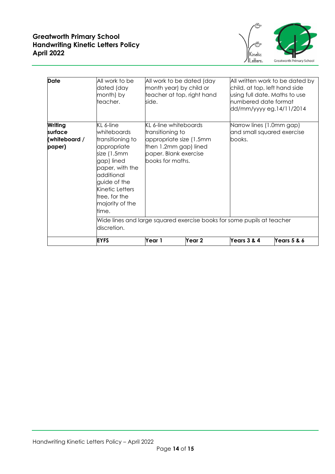



| <b>Date</b>                                   | All work to be<br>dated (day<br>month) by<br>teacher.                                                                                                                                                                                                                                              | All work to be dated (day<br>month year) by child or<br>teacher at top, right hand<br>side.                                                        |        | All written work to be dated by<br>child, at top, left hand side<br>using full date. Maths to use<br>numbered date format<br>dd/mm/yyyy eg.14/11/2014 |             |
|-----------------------------------------------|----------------------------------------------------------------------------------------------------------------------------------------------------------------------------------------------------------------------------------------------------------------------------------------------------|----------------------------------------------------------------------------------------------------------------------------------------------------|--------|-------------------------------------------------------------------------------------------------------------------------------------------------------|-------------|
| Writing<br>surface<br>(whiteboard /<br>paper) | KL 6-line<br>whiteboards<br>transitioning to<br>appropriate<br>size (1.5mm<br>gap) lined<br>paper, with the<br>additional<br>guide of the<br>Kinetic Letters<br>tree, for the<br>majority of the<br>time.<br>Wide lines and large squared exercise books for some pupils at teacher<br>discretion. | <b>KL 6-line whiteboards</b><br>transitioning to<br>appropriate size (1.5mm)<br>then 1.2mm gap) lined<br>paper. Blank exercise<br>books for maths. |        | Narrow lines (1.0mm gap)<br>and small squared exercise<br>books.                                                                                      |             |
|                                               | <b>EYFS</b>                                                                                                                                                                                                                                                                                        | Year 1                                                                                                                                             | Year 2 | Years 3 & 4                                                                                                                                           | Years 5 & 6 |